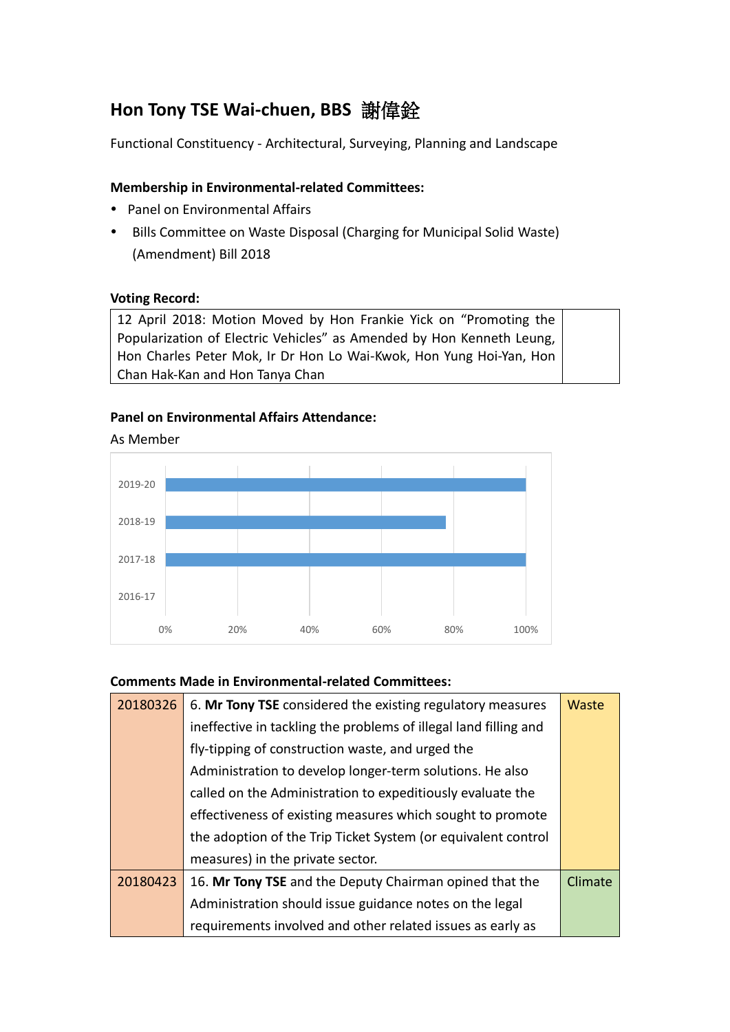# **Hon Tony TSE Wai-chuen, BBS** 謝偉銓

Functional Constituency - Architectural, Surveying, Planning and Landscape

## **Membership in Environmental-related Committees:**

- Panel on Environmental Affairs
- Bills Committee on Waste Disposal (Charging for Municipal Solid Waste) (Amendment) Bill 2018

### **Voting Record:**

12 April 2018: Motion Moved by Hon Frankie Yick on "Promoting the Popularization of Electric Vehicles" as Amended by Hon Kenneth Leung, Hon Charles Peter Mok, Ir Dr Hon Lo Wai-Kwok, Hon Yung Hoi-Yan, Hon Chan Hak-Kan and Hon Tanya Chan

# **Panel on Environmental Affairs Attendance:**

#### As Member



### **Comments Made in Environmental-related Committees:**

| 20180326 | 6. Mr Tony TSE considered the existing regulatory measures       | <b>Waste</b> |
|----------|------------------------------------------------------------------|--------------|
|          | ineffective in tackling the problems of illegal land filling and |              |
|          | fly-tipping of construction waste, and urged the                 |              |
|          | Administration to develop longer-term solutions. He also         |              |
|          | called on the Administration to expeditiously evaluate the       |              |
|          | effectiveness of existing measures which sought to promote       |              |
|          | the adoption of the Trip Ticket System (or equivalent control    |              |
|          | measures) in the private sector.                                 |              |
| 20180423 | 16. Mr Tony TSE and the Deputy Chairman opined that the          | Climate      |
|          | Administration should issue guidance notes on the legal          |              |
|          | requirements involved and other related issues as early as       |              |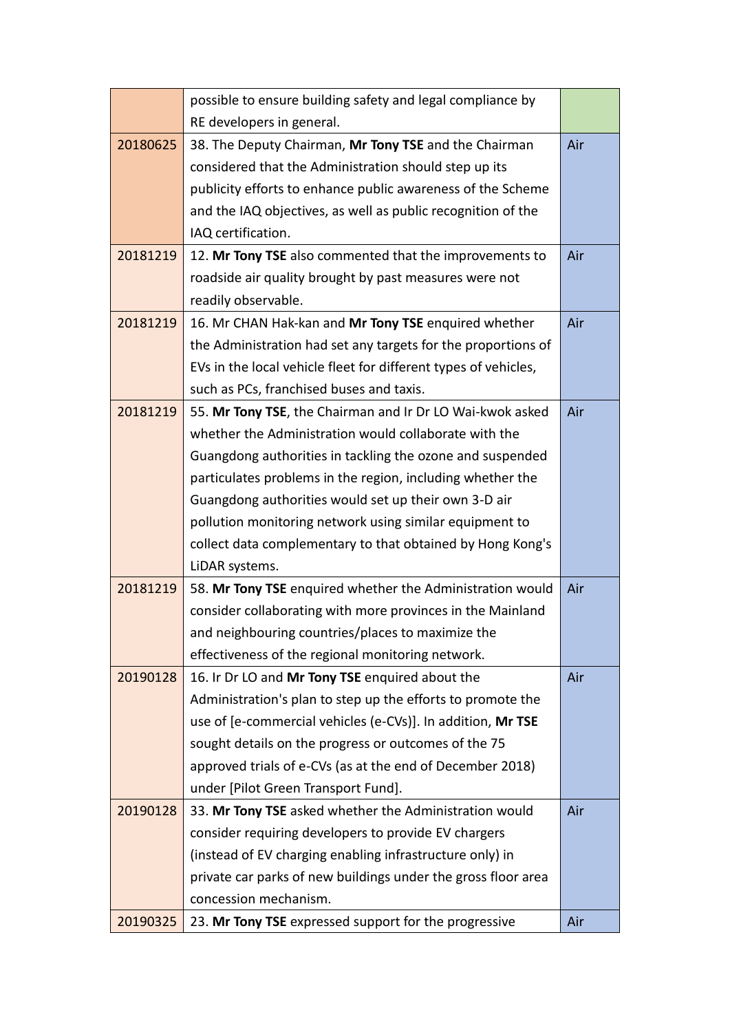|          | possible to ensure building safety and legal compliance by      |     |
|----------|-----------------------------------------------------------------|-----|
|          | RE developers in general.                                       |     |
| 20180625 | 38. The Deputy Chairman, Mr Tony TSE and the Chairman           | Air |
|          | considered that the Administration should step up its           |     |
|          | publicity efforts to enhance public awareness of the Scheme     |     |
|          | and the IAQ objectives, as well as public recognition of the    |     |
|          | IAQ certification.                                              |     |
| 20181219 | 12. Mr Tony TSE also commented that the improvements to         | Air |
|          | roadside air quality brought by past measures were not          |     |
|          | readily observable.                                             |     |
| 20181219 | 16. Mr CHAN Hak-kan and Mr Tony TSE enquired whether            | Air |
|          | the Administration had set any targets for the proportions of   |     |
|          | EVs in the local vehicle fleet for different types of vehicles, |     |
|          | such as PCs, franchised buses and taxis.                        |     |
| 20181219 | 55. Mr Tony TSE, the Chairman and Ir Dr LO Wai-kwok asked       | Air |
|          | whether the Administration would collaborate with the           |     |
|          | Guangdong authorities in tackling the ozone and suspended       |     |
|          | particulates problems in the region, including whether the      |     |
|          | Guangdong authorities would set up their own 3-D air            |     |
|          | pollution monitoring network using similar equipment to         |     |
|          | collect data complementary to that obtained by Hong Kong's      |     |
|          | LiDAR systems.                                                  |     |
| 20181219 | 58. Mr Tony TSE enquired whether the Administration would       | Air |
|          | consider collaborating with more provinces in the Mainland      |     |
|          | and neighbouring countries/places to maximize the               |     |
|          | effectiveness of the regional monitoring network.               |     |
| 20190128 | 16. Ir Dr LO and Mr Tony TSE enquired about the                 | Air |
|          | Administration's plan to step up the efforts to promote the     |     |
|          | use of [e-commercial vehicles (e-CVs)]. In addition, Mr TSE     |     |
|          | sought details on the progress or outcomes of the 75            |     |
|          | approved trials of e-CVs (as at the end of December 2018)       |     |
|          | under [Pilot Green Transport Fund].                             |     |
| 20190128 | 33. Mr Tony TSE asked whether the Administration would          | Air |
|          | consider requiring developers to provide EV chargers            |     |
|          | (instead of EV charging enabling infrastructure only) in        |     |
|          | private car parks of new buildings under the gross floor area   |     |
|          | concession mechanism.                                           |     |
| 20190325 | 23. Mr Tony TSE expressed support for the progressive           | Air |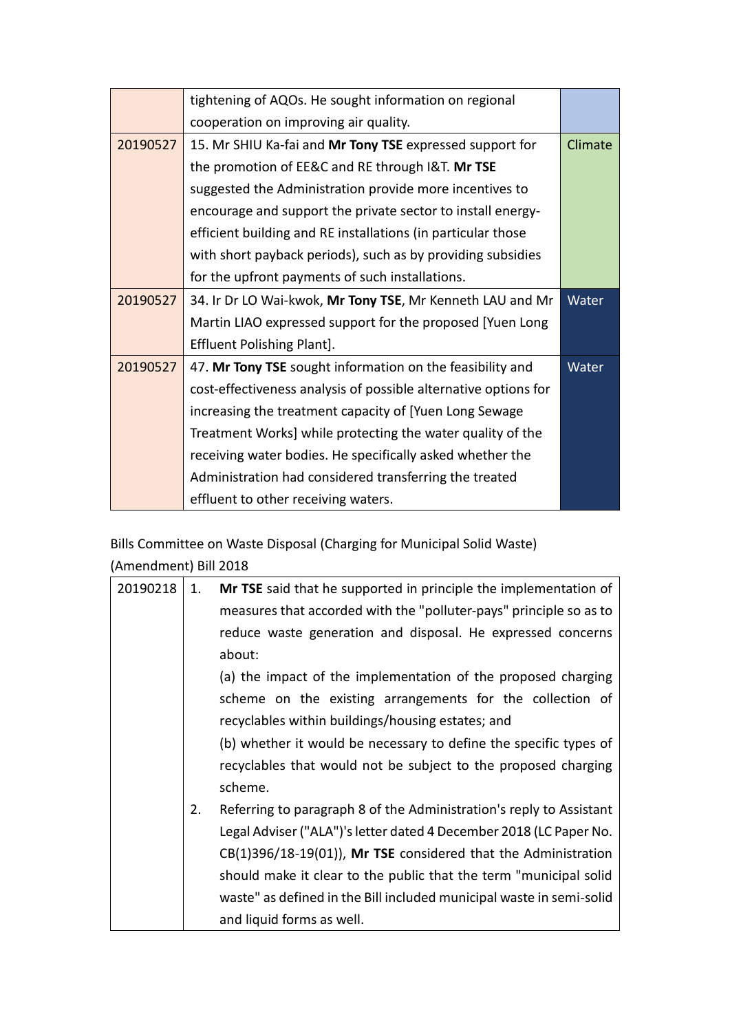|          | tightening of AQOs. He sought information on regional           |       |  |  |  |
|----------|-----------------------------------------------------------------|-------|--|--|--|
|          | cooperation on improving air quality.                           |       |  |  |  |
| 20190527 | 15. Mr SHIU Ka-fai and Mr Tony TSE expressed support for        |       |  |  |  |
|          | the promotion of EE&C and RE through I&T. Mr TSE                |       |  |  |  |
|          | suggested the Administration provide more incentives to         |       |  |  |  |
|          | encourage and support the private sector to install energy-     |       |  |  |  |
|          | efficient building and RE installations (in particular those    |       |  |  |  |
|          | with short payback periods), such as by providing subsidies     |       |  |  |  |
|          | for the upfront payments of such installations.                 |       |  |  |  |
| 20190527 | 34. Ir Dr LO Wai-kwok, Mr Tony TSE, Mr Kenneth LAU and Mr       |       |  |  |  |
|          | Martin LIAO expressed support for the proposed [Yuen Long]      |       |  |  |  |
|          | Effluent Polishing Plant].                                      |       |  |  |  |
| 20190527 | 47. Mr Tony TSE sought information on the feasibility and       | Water |  |  |  |
|          | cost-effectiveness analysis of possible alternative options for |       |  |  |  |
|          | increasing the treatment capacity of [Yuen Long Sewage          |       |  |  |  |
|          | Treatment Works] while protecting the water quality of the      |       |  |  |  |
|          | receiving water bodies. He specifically asked whether the       |       |  |  |  |
|          | Administration had considered transferring the treated          |       |  |  |  |
|          | effluent to other receiving waters.                             |       |  |  |  |

Bills Committee on Waste Disposal (Charging for Municipal Solid Waste) (Amendment) Bill 2018

| 20190218 | 1. | Mr TSE said that he supported in principle the implementation of     |
|----------|----|----------------------------------------------------------------------|
|          |    | measures that accorded with the "polluter-pays" principle so as to   |
|          |    | reduce waste generation and disposal. He expressed concerns          |
|          |    | about:                                                               |
|          |    | (a) the impact of the implementation of the proposed charging        |
|          |    | scheme on the existing arrangements for the collection of            |
|          |    | recyclables within buildings/housing estates; and                    |
|          |    | (b) whether it would be necessary to define the specific types of    |
|          |    | recyclables that would not be subject to the proposed charging       |
|          |    | scheme.                                                              |
|          | 2. | Referring to paragraph 8 of the Administration's reply to Assistant  |
|          |    | Legal Adviser ("ALA")'s letter dated 4 December 2018 (LC Paper No.   |
|          |    | $CB(1)396/18-19(01)$ , Mr TSE considered that the Administration     |
|          |    | should make it clear to the public that the term "municipal solid    |
|          |    | waste" as defined in the Bill included municipal waste in semi-solid |
|          |    | and liquid forms as well.                                            |